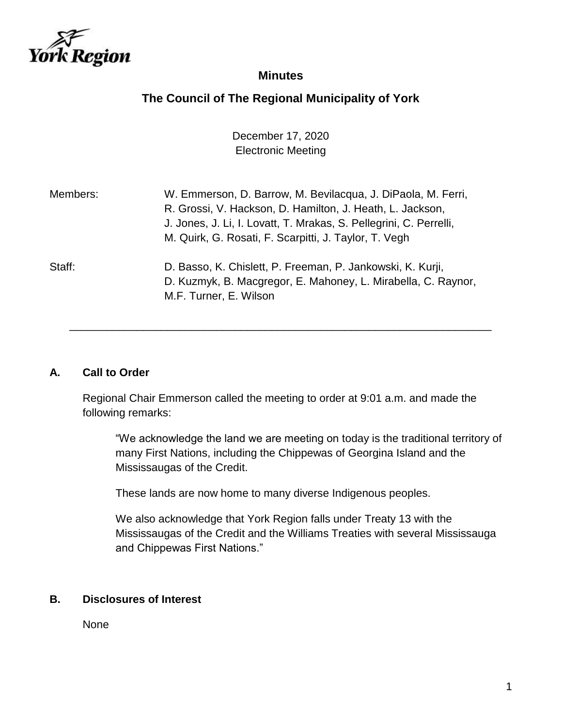

# **Minutes**

# **The Council of The Regional Municipality of York**

December 17, 2020 Electronic Meeting

| Members: | W. Emmerson, D. Barrow, M. Bevilacqua, J. DiPaola, M. Ferri,<br>R. Grossi, V. Hackson, D. Hamilton, J. Heath, L. Jackson,<br>J. Jones, J. Li, I. Lovatt, T. Mrakas, S. Pellegrini, C. Perrelli,<br>M. Quirk, G. Rosati, F. Scarpitti, J. Taylor, T. Vegh |
|----------|----------------------------------------------------------------------------------------------------------------------------------------------------------------------------------------------------------------------------------------------------------|
| Staff:   | D. Basso, K. Chislett, P. Freeman, P. Jankowski, K. Kurji,<br>D. Kuzmyk, B. Macgregor, E. Mahoney, L. Mirabella, C. Raynor,<br>M.F. Turner, E. Wilson                                                                                                    |

## **A. Call to Order**

Regional Chair Emmerson called the meeting to order at 9:01 a.m. and made the following remarks:

\_\_\_\_\_\_\_\_\_\_\_\_\_\_\_\_\_\_\_\_\_\_\_\_\_\_\_\_\_\_\_\_\_\_\_\_\_\_\_\_\_\_\_\_\_\_\_\_\_\_\_\_\_\_\_\_\_\_\_\_\_\_\_\_\_\_\_\_\_

"We acknowledge the land we are meeting on today is the traditional territory of many First Nations, including the Chippewas of Georgina Island and the Mississaugas of the Credit.

These lands are now home to many diverse Indigenous peoples.

We also acknowledge that York Region falls under Treaty 13 with the Mississaugas of the Credit and the Williams Treaties with several Mississauga and Chippewas First Nations."

## **B. Disclosures of Interest**

None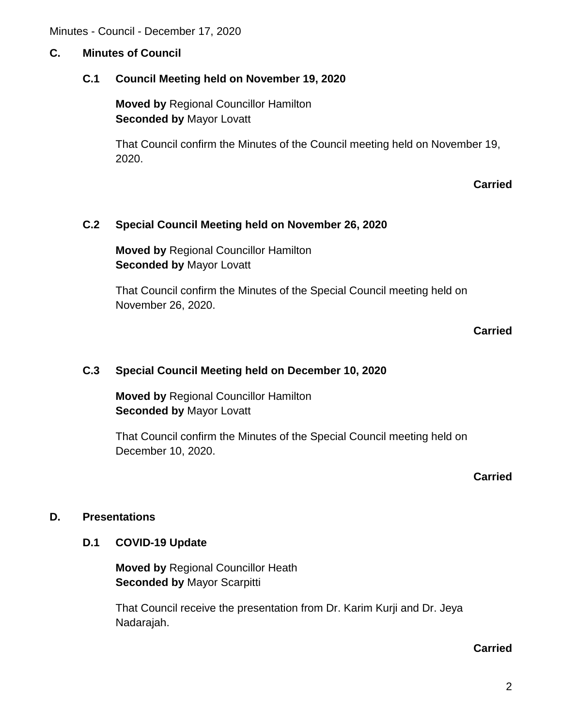## **C. Minutes of Council**

## **C.1 Council Meeting held on November 19, 2020**

**Moved by** Regional Councillor Hamilton **Seconded by** Mayor Lovatt

That Council confirm the Minutes of the Council meeting held on November 19, 2020.

### **Carried**

## **C.2 Special Council Meeting held on November 26, 2020**

**Moved by** Regional Councillor Hamilton **Seconded by** Mayor Lovatt

That Council confirm the Minutes of the Special Council meeting held on November 26, 2020.

### **Carried**

## **C.3 Special Council Meeting held on December 10, 2020**

**Moved by** Regional Councillor Hamilton **Seconded by** Mayor Lovatt

That Council confirm the Minutes of the Special Council meeting held on December 10, 2020.

**Carried**

## **D. Presentations**

### **D.1 COVID-19 Update**

**Moved by** Regional Councillor Heath **Seconded by** Mayor Scarpitti

That Council receive the presentation from Dr. Karim Kurji and Dr. Jeya Nadarajah.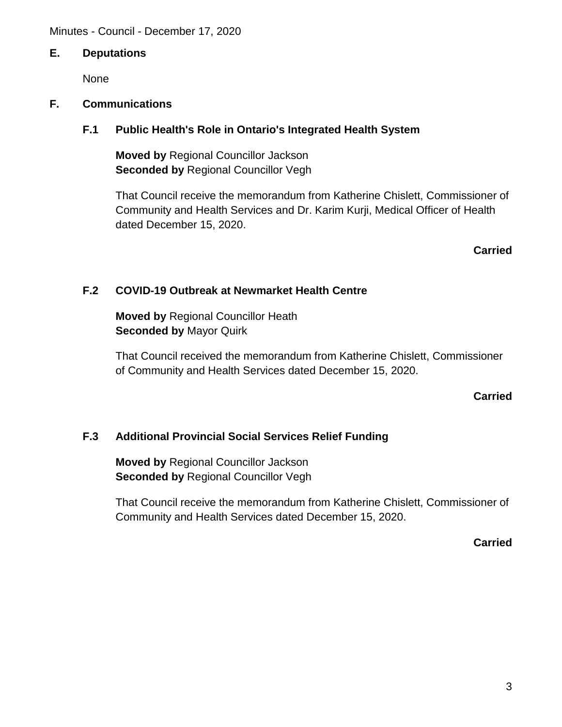## **E. Deputations**

None

## **F. Communications**

## **F.1 Public Health's Role in Ontario's Integrated Health System**

**Moved by** Regional Councillor Jackson **Seconded by** Regional Councillor Vegh

That Council receive the memorandum from Katherine Chislett, Commissioner of Community and Health Services and Dr. Karim Kurji, Medical Officer of Health dated December 15, 2020.

**Carried**

## **F.2 COVID-19 Outbreak at Newmarket Health Centre**

**Moved by** Regional Councillor Heath **Seconded by** Mayor Quirk

That Council received the memorandum from Katherine Chislett, Commissioner of Community and Health Services dated December 15, 2020.

## **Carried**

# **F.3 Additional Provincial Social Services Relief Funding**

**Moved by** Regional Councillor Jackson **Seconded by** Regional Councillor Vegh

That Council receive the memorandum from Katherine Chislett, Commissioner of Community and Health Services dated December 15, 2020.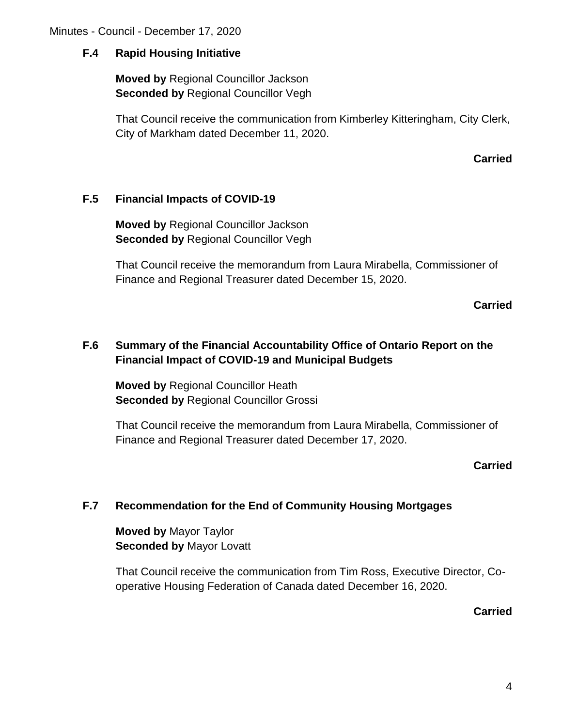## **F.4 Rapid Housing Initiative**

**Moved by** Regional Councillor Jackson **Seconded by Regional Councillor Vegh** 

That Council receive the communication from Kimberley Kitteringham, City Clerk, City of Markham dated December 11, 2020.

### **Carried**

## **F.5 Financial Impacts of COVID-19**

**Moved by** Regional Councillor Jackson **Seconded by Regional Councillor Vegh** 

That Council receive the memorandum from Laura Mirabella, Commissioner of Finance and Regional Treasurer dated December 15, 2020.

**Carried**

# **F.6 Summary of the Financial Accountability Office of Ontario Report on the Financial Impact of COVID-19 and Municipal Budgets**

**Moved by** Regional Councillor Heath **Seconded by** Regional Councillor Grossi

That Council receive the memorandum from Laura Mirabella, Commissioner of Finance and Regional Treasurer dated December 17, 2020.

## **Carried**

## **F.7 Recommendation for the End of Community Housing Mortgages**

**Moved by** Mayor Taylor **Seconded by** Mayor Lovatt

That Council receive the communication from Tim Ross, Executive Director, Cooperative Housing Federation of Canada dated December 16, 2020.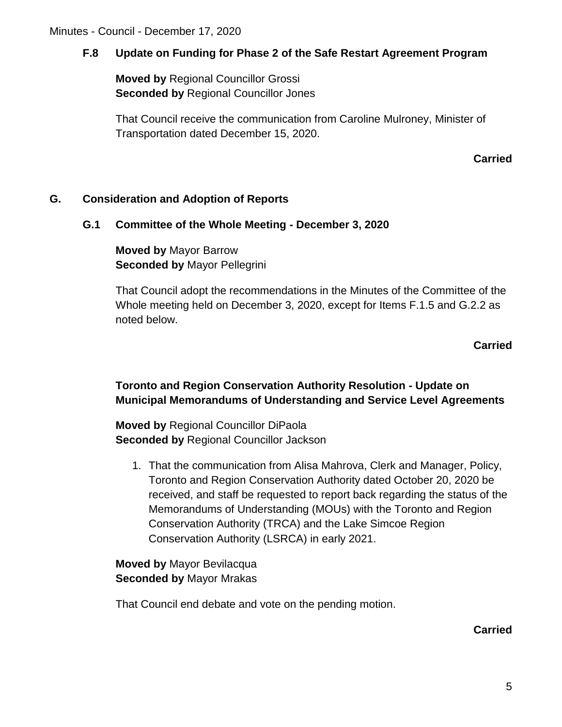# **F.8 Update on Funding for Phase 2 of the Safe Restart Agreement Program**

**Moved by** Regional Councillor Grossi **Seconded by** Regional Councillor Jones

That Council receive the communication from Caroline Mulroney, Minister of Transportation dated December 15, 2020.

## **Carried**

## **G. Consideration and Adoption of Reports**

## **G.1 Committee of the Whole Meeting - December 3, 2020**

**Moved by** Mayor Barrow **Seconded by** Mayor Pellegrini

That Council adopt the recommendations in the Minutes of the Committee of the Whole meeting held on December 3, 2020, except for Items F.1.5 and G.2.2 as noted below.

**Carried**

# **Toronto and Region Conservation Authority Resolution - Update on Municipal Memorandums of Understanding and Service Level Agreements**

**Moved by** Regional Councillor DiPaola **Seconded by** Regional Councillor Jackson

1. That the communication from Alisa Mahrova, Clerk and Manager, Policy, Toronto and Region Conservation Authority dated October 20, 2020 be received, and staff be requested to report back regarding the status of the Memorandums of Understanding (MOUs) with the Toronto and Region Conservation Authority (TRCA) and the Lake Simcoe Region Conservation Authority (LSRCA) in early 2021.

**Moved by** Mayor Bevilacqua **Seconded by** Mayor Mrakas

That Council end debate and vote on the pending motion.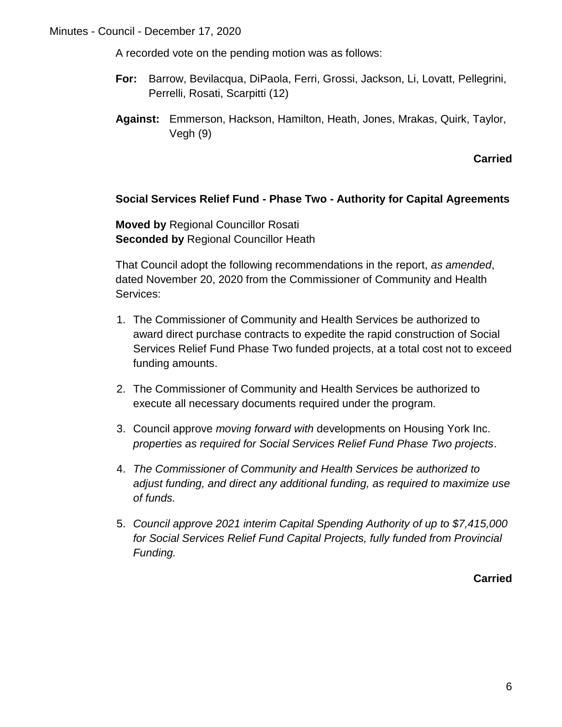A recorded vote on the pending motion was as follows:

- **For:** Barrow, Bevilacqua, DiPaola, Ferri, Grossi, Jackson, Li, Lovatt, Pellegrini, Perrelli, Rosati, Scarpitti (12)
- **Against:** Emmerson, Hackson, Hamilton, Heath, Jones, Mrakas, Quirk, Taylor, Vegh (9)

**Carried**

## **Social Services Relief Fund - Phase Two - Authority for Capital Agreements**

**Moved by** Regional Councillor Rosati **Seconded by** Regional Councillor Heath

That Council adopt the following recommendations in the report, *as amended*, dated November 20, 2020 from the Commissioner of Community and Health Services:

- 1. The Commissioner of Community and Health Services be authorized to award direct purchase contracts to expedite the rapid construction of Social Services Relief Fund Phase Two funded projects, at a total cost not to exceed funding amounts.
- 2. The Commissioner of Community and Health Services be authorized to execute all necessary documents required under the program.
- 3. Council approve *moving forward with* developments on Housing York Inc. *properties as required for Social Services Relief Fund Phase Two projects*.
- 4. *The Commissioner of Community and Health Services be authorized to adjust funding, and direct any additional funding, as required to maximize use of funds.*
- 5. *Council approve 2021 interim Capital Spending Authority of up to \$7,415,000 for Social Services Relief Fund Capital Projects, fully funded from Provincial Funding.*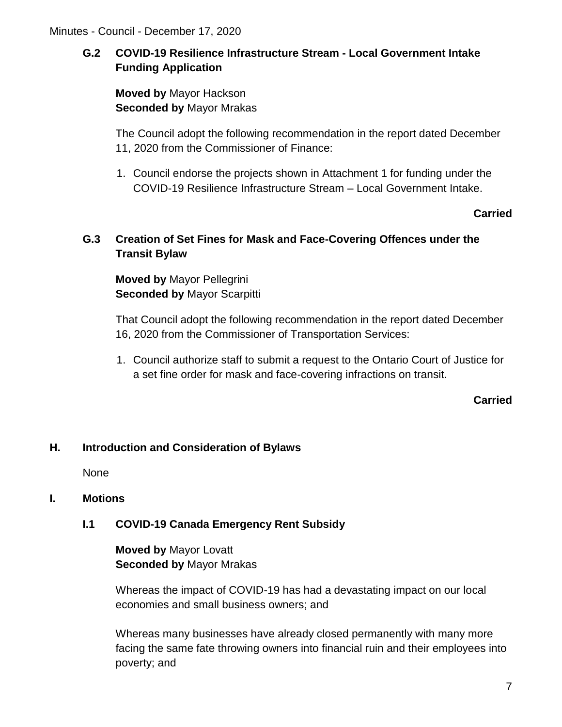# **G.2 COVID-19 Resilience Infrastructure Stream - Local Government Intake Funding Application**

**Moved by** Mayor Hackson **Seconded by** Mayor Mrakas

The Council adopt the following recommendation in the report dated December 11, 2020 from the Commissioner of Finance:

1. Council endorse the projects shown in Attachment 1 for funding under the COVID-19 Resilience Infrastructure Stream – Local Government Intake.

## **Carried**

# **G.3 Creation of Set Fines for Mask and Face-Covering Offences under the Transit Bylaw**

**Moved by** Mayor Pellegrini **Seconded by** Mayor Scarpitti

That Council adopt the following recommendation in the report dated December 16, 2020 from the Commissioner of Transportation Services:

1. Council authorize staff to submit a request to the Ontario Court of Justice for a set fine order for mask and face-covering infractions on transit.

**Carried**

# **H. Introduction and Consideration of Bylaws**

None

# **I. Motions**

# **I.1 COVID-19 Canada Emergency Rent Subsidy**

**Moved by** Mayor Lovatt **Seconded by** Mayor Mrakas

Whereas the impact of COVID-19 has had a devastating impact on our local economies and small business owners; and

Whereas many businesses have already closed permanently with many more facing the same fate throwing owners into financial ruin and their employees into poverty; and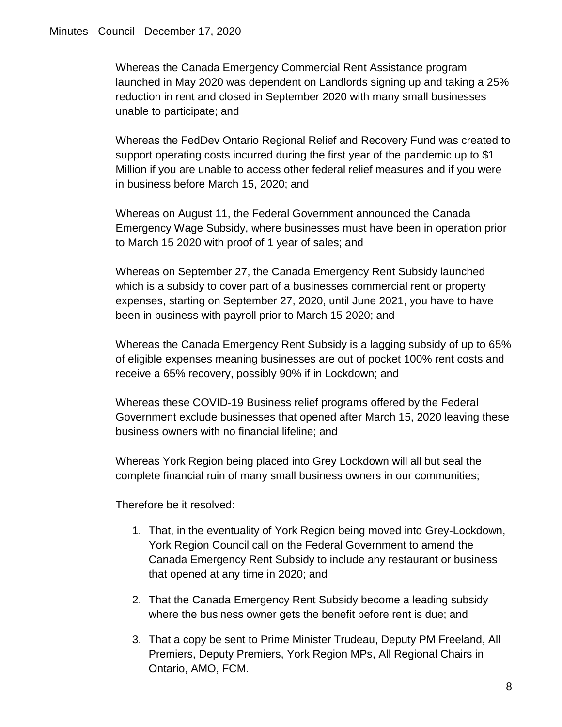Whereas the Canada Emergency Commercial Rent Assistance program launched in May 2020 was dependent on Landlords signing up and taking a 25% reduction in rent and closed in September 2020 with many small businesses unable to participate; and

Whereas the FedDev Ontario Regional Relief and Recovery Fund was created to support operating costs incurred during the first year of the pandemic up to \$1 Million if you are unable to access other federal relief measures and if you were in business before March 15, 2020; and

Whereas on August 11, the Federal Government announced the Canada Emergency Wage Subsidy, where businesses must have been in operation prior to March 15 2020 with proof of 1 year of sales; and

Whereas on September 27, the Canada Emergency Rent Subsidy launched which is a subsidy to cover part of a businesses commercial rent or property expenses, starting on September 27, 2020, until June 2021, you have to have been in business with payroll prior to March 15 2020; and

Whereas the Canada Emergency Rent Subsidy is a lagging subsidy of up to 65% of eligible expenses meaning businesses are out of pocket 100% rent costs and receive a 65% recovery, possibly 90% if in Lockdown; and

Whereas these COVID-19 Business relief programs offered by the Federal Government exclude businesses that opened after March 15, 2020 leaving these business owners with no financial lifeline; and

Whereas York Region being placed into Grey Lockdown will all but seal the complete financial ruin of many small business owners in our communities;

Therefore be it resolved:

- 1. That, in the eventuality of York Region being moved into Grey-Lockdown, York Region Council call on the Federal Government to amend the Canada Emergency Rent Subsidy to include any restaurant or business that opened at any time in 2020; and
- 2. That the Canada Emergency Rent Subsidy become a leading subsidy where the business owner gets the benefit before rent is due; and
- 3. That a copy be sent to Prime Minister Trudeau, Deputy PM Freeland, All Premiers, Deputy Premiers, York Region MPs, All Regional Chairs in Ontario, AMO, FCM.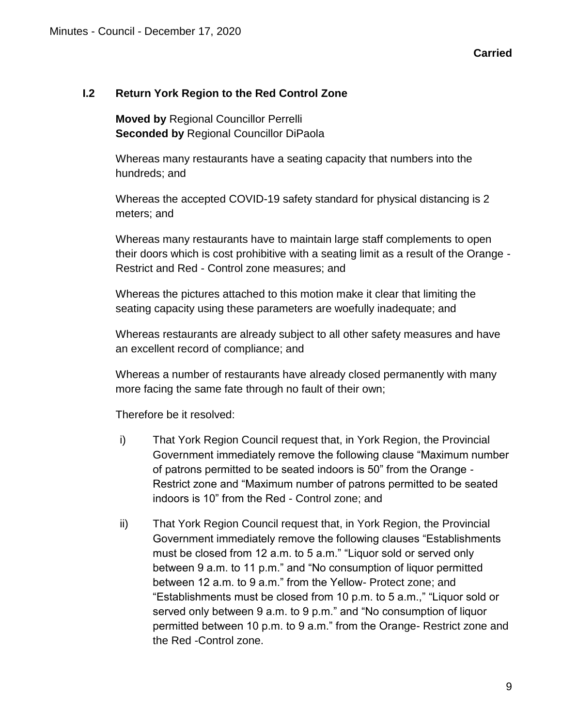## **I.2 Return York Region to the Red Control Zone**

**Moved by** Regional Councillor Perrelli **Seconded by** Regional Councillor DiPaola

Whereas many restaurants have a seating capacity that numbers into the hundreds; and

Whereas the accepted COVID-19 safety standard for physical distancing is 2 meters; and

Whereas many restaurants have to maintain large staff complements to open their doors which is cost prohibitive with a seating limit as a result of the Orange - Restrict and Red - Control zone measures; and

Whereas the pictures attached to this motion make it clear that limiting the seating capacity using these parameters are woefully inadequate; and

Whereas restaurants are already subject to all other safety measures and have an excellent record of compliance; and

Whereas a number of restaurants have already closed permanently with many more facing the same fate through no fault of their own;

Therefore be it resolved:

- i) That York Region Council request that, in York Region, the Provincial Government immediately remove the following clause "Maximum number of patrons permitted to be seated indoors is 50" from the Orange - Restrict zone and "Maximum number of patrons permitted to be seated indoors is 10" from the Red - Control zone; and
- ii) That York Region Council request that, in York Region, the Provincial Government immediately remove the following clauses "Establishments must be closed from 12 a.m. to 5 a.m." "Liquor sold or served only between 9 a.m. to 11 p.m." and "No consumption of liquor permitted between 12 a.m. to 9 a.m." from the Yellow- Protect zone; and "Establishments must be closed from 10 p.m. to 5 a.m.," "Liquor sold or served only between 9 a.m. to 9 p.m." and "No consumption of liquor permitted between 10 p.m. to 9 a.m." from the Orange- Restrict zone and the Red -Control zone.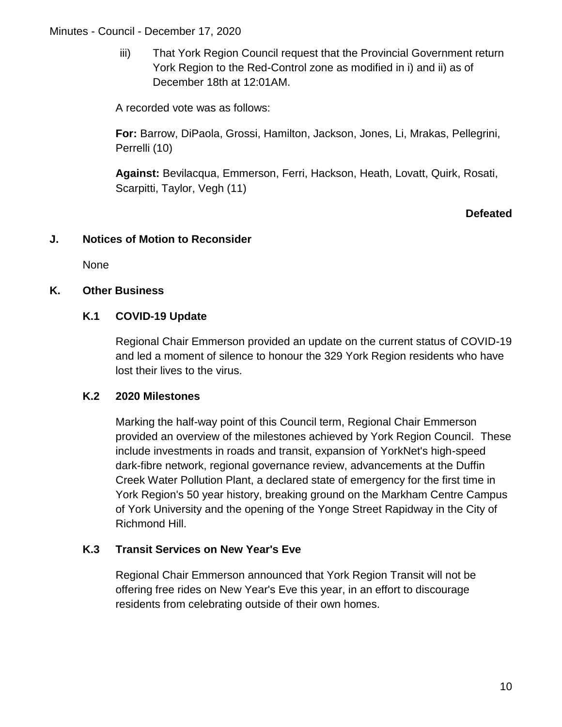iii) That York Region Council request that the Provincial Government return York Region to the Red-Control zone as modified in i) and ii) as of December 18th at 12:01AM.

A recorded vote was as follows:

**For:** Barrow, DiPaola, Grossi, Hamilton, Jackson, Jones, Li, Mrakas, Pellegrini, Perrelli (10)

**Against:** Bevilacqua, Emmerson, Ferri, Hackson, Heath, Lovatt, Quirk, Rosati, Scarpitti, Taylor, Vegh (11)

## **Defeated**

## **J. Notices of Motion to Reconsider**

None

## **K. Other Business**

# **K.1 COVID-19 Update**

Regional Chair Emmerson provided an update on the current status of COVID-19 and led a moment of silence to honour the 329 York Region residents who have lost their lives to the virus.

## **K.2 2020 Milestones**

Marking the half-way point of this Council term, Regional Chair Emmerson provided an overview of the milestones achieved by York Region Council. These include investments in roads and transit, expansion of YorkNet's high-speed dark-fibre network, regional governance review, advancements at the Duffin Creek Water Pollution Plant, a declared state of emergency for the first time in York Region's 50 year history, breaking ground on the Markham Centre Campus of York University and the opening of the Yonge Street Rapidway in the City of Richmond Hill.

# **K.3 Transit Services on New Year's Eve**

Regional Chair Emmerson announced that York Region Transit will not be offering free rides on New Year's Eve this year, in an effort to discourage residents from celebrating outside of their own homes.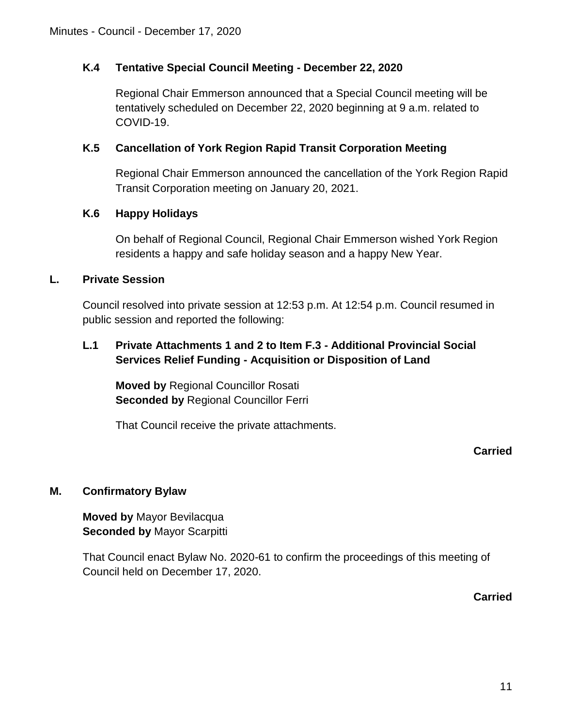# **K.4 Tentative Special Council Meeting - December 22, 2020**

Regional Chair Emmerson announced that a Special Council meeting will be tentatively scheduled on December 22, 2020 beginning at 9 a.m. related to COVID-19.

## **K.5 Cancellation of York Region Rapid Transit Corporation Meeting**

Regional Chair Emmerson announced the cancellation of the York Region Rapid Transit Corporation meeting on January 20, 2021.

## **K.6 Happy Holidays**

On behalf of Regional Council, Regional Chair Emmerson wished York Region residents a happy and safe holiday season and a happy New Year.

## **L. Private Session**

Council resolved into private session at 12:53 p.m. At 12:54 p.m. Council resumed in public session and reported the following:

# **L.1 Private Attachments 1 and 2 to Item F.3 - Additional Provincial Social Services Relief Funding - Acquisition or Disposition of Land**

**Moved by** Regional Councillor Rosati **Seconded by** Regional Councillor Ferri

That Council receive the private attachments.

## **Carried**

# **M. Confirmatory Bylaw**

**Moved by** Mayor Bevilacqua **Seconded by** Mayor Scarpitti

That Council enact Bylaw No. 2020-61 to confirm the proceedings of this meeting of Council held on December 17, 2020.